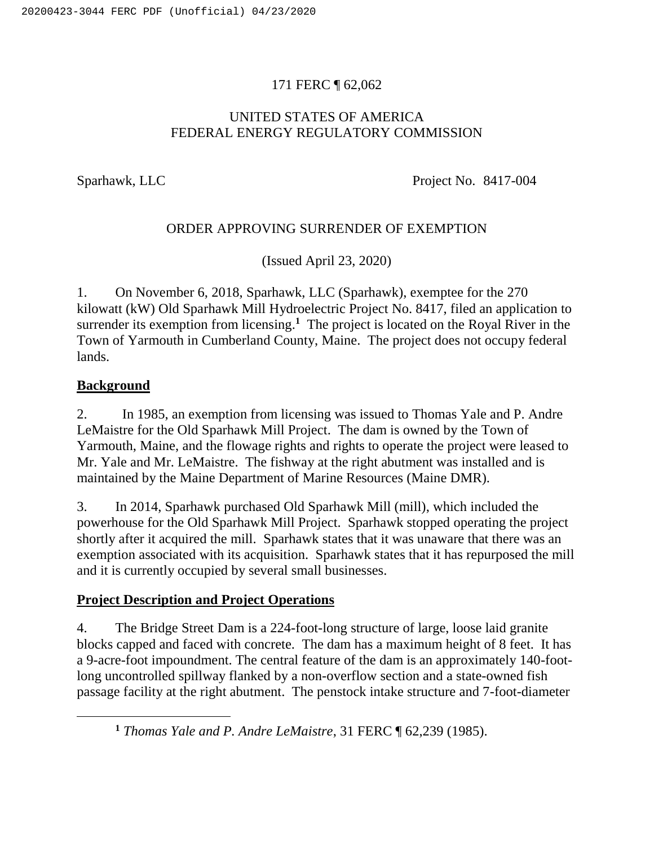## 171 FERC ¶ 62,062

### UNITED STATES OF AMERICA FEDERAL ENERGY REGULATORY COMMISSION

Sparhawk, LLC Project No. 8417-004

### ORDER APPROVING SURRENDER OF EXEMPTION

(Issued April 23, 2020)

1. On November 6, 2018, Sparhawk, LLC (Sparhawk), exemptee for the 270 kilowatt (kW) Old Sparhawk Mill Hydroelectric Project No. 8417, filed an application to surrender its exemption from licensing.<sup>1</sup> The project is located on the Royal River in the Town of Yarmouth in Cumberland County, Maine. The project does not occupy federal lands.

### **Background**

2. In 1985, an exemption from licensing was issued to Thomas Yale and P. Andre LeMaistre for the Old Sparhawk Mill Project. The dam is owned by the Town of Yarmouth, Maine, and the flowage rights and rights to operate the project were leased to Mr. Yale and Mr. LeMaistre. The fishway at the right abutment was installed and is maintained by the Maine Department of Marine Resources (Maine DMR).

3. In 2014, Sparhawk purchased Old Sparhawk Mill (mill), which included the powerhouse for the Old Sparhawk Mill Project. Sparhawk stopped operating the project shortly after it acquired the mill. Sparhawk states that it was unaware that there was an exemption associated with its acquisition. Sparhawk states that it has repurposed the mill and it is currently occupied by several small businesses.

### **Project Description and Project Operations**

4. The Bridge Street Dam is a 224-foot-long structure of large, loose laid granite blocks capped and faced with concrete. The dam has a maximum height of 8 feet. It has a 9-acre-foot impoundment. The central feature of the dam is an approximately 140-footlong uncontrolled spillway flanked by a non-overflow section and a state-owned fish passage facility at the right abutment. The penstock intake structure and 7-foot-diameter

**<sup>1</sup>** *Thomas Yale and P. Andre LeMaistre*, 31 FERC ¶ 62,239 (1985).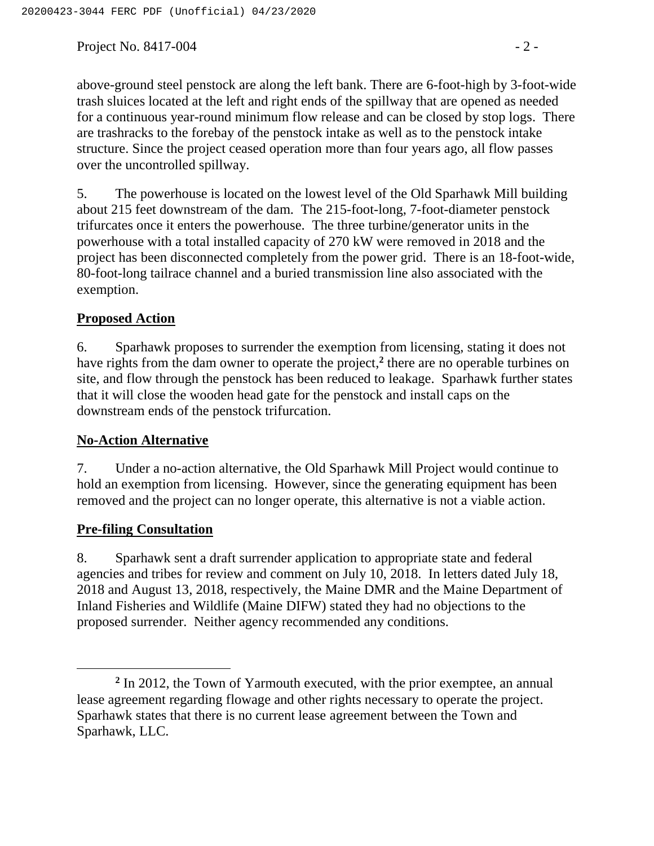Project No. 8417-004  $-2$  -

above-ground steel penstock are along the left bank. There are 6-foot-high by 3-foot-wide trash sluices located at the left and right ends of the spillway that are opened as needed for a continuous year-round minimum flow release and can be closed by stop logs. There are trashracks to the forebay of the penstock intake as well as to the penstock intake structure. Since the project ceased operation more than four years ago, all flow passes over the uncontrolled spillway.

5. The powerhouse is located on the lowest level of the Old Sparhawk Mill building about 215 feet downstream of the dam. The 215-foot-long, 7-foot-diameter penstock trifurcates once it enters the powerhouse. The three turbine/generator units in the powerhouse with a total installed capacity of 270 kW were removed in 2018 and the project has been disconnected completely from the power grid. There is an 18-foot-wide, 80-foot-long tailrace channel and a buried transmission line also associated with the exemption.

### **Proposed Action**

6. Sparhawk proposes to surrender the exemption from licensing, stating it does not have rights from the dam owner to operate the project, **2** there are no operable turbines on site, and flow through the penstock has been reduced to leakage. Sparhawk further states that it will close the wooden head gate for the penstock and install caps on the downstream ends of the penstock trifurcation.

### **No-Action Alternative**

7. Under a no-action alternative, the Old Sparhawk Mill Project would continue to hold an exemption from licensing. However, since the generating equipment has been removed and the project can no longer operate, this alternative is not a viable action.

### **Pre-filing Consultation**

 $\overline{a}$ 

8. Sparhawk sent a draft surrender application to appropriate state and federal agencies and tribes for review and comment on July 10, 2018. In letters dated July 18, 2018 and August 13, 2018, respectively, the Maine DMR and the Maine Department of Inland Fisheries and Wildlife (Maine DIFW) stated they had no objections to the proposed surrender. Neither agency recommended any conditions.

<sup>&</sup>lt;sup>2</sup> In 2012, the Town of Yarmouth executed, with the prior exemptee, an annual lease agreement regarding flowage and other rights necessary to operate the project. Sparhawk states that there is no current lease agreement between the Town and Sparhawk, LLC.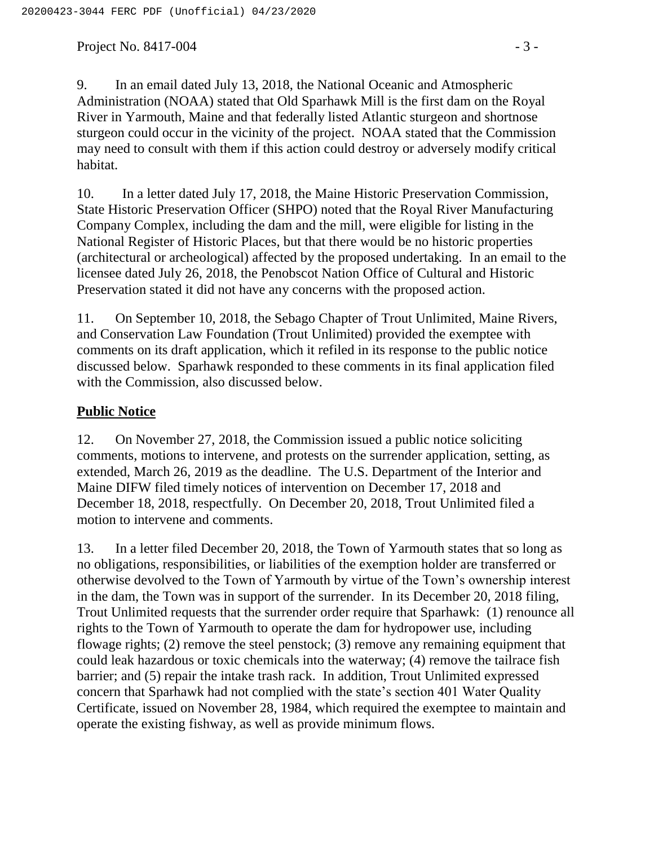Project No.  $8417-004$  - 3 -

9. In an email dated July 13, 2018, the National Oceanic and Atmospheric Administration (NOAA) stated that Old Sparhawk Mill is the first dam on the Royal River in Yarmouth, Maine and that federally listed Atlantic sturgeon and shortnose sturgeon could occur in the vicinity of the project. NOAA stated that the Commission may need to consult with them if this action could destroy or adversely modify critical habitat.

10. In a letter dated July 17, 2018, the Maine Historic Preservation Commission, State Historic Preservation Officer (SHPO) noted that the Royal River Manufacturing Company Complex, including the dam and the mill, were eligible for listing in the National Register of Historic Places, but that there would be no historic properties (architectural or archeological) affected by the proposed undertaking. In an email to the licensee dated July 26, 2018, the Penobscot Nation Office of Cultural and Historic Preservation stated it did not have any concerns with the proposed action.

11. On September 10, 2018, the Sebago Chapter of Trout Unlimited, Maine Rivers, and Conservation Law Foundation (Trout Unlimited) provided the exemptee with comments on its draft application, which it refiled in its response to the public notice discussed below. Sparhawk responded to these comments in its final application filed with the Commission, also discussed below.

# **Public Notice**

12. On November 27, 2018, the Commission issued a public notice soliciting comments, motions to intervene, and protests on the surrender application, setting, as extended, March 26, 2019 as the deadline. The U.S. Department of the Interior and Maine DIFW filed timely notices of intervention on December 17, 2018 and December 18, 2018, respectfully. On December 20, 2018, Trout Unlimited filed a motion to intervene and comments.

13. In a letter filed December 20, 2018, the Town of Yarmouth states that so long as no obligations, responsibilities, or liabilities of the exemption holder are transferred or otherwise devolved to the Town of Yarmouth by virtue of the Town's ownership interest in the dam, the Town was in support of the surrender. In its December 20, 2018 filing, Trout Unlimited requests that the surrender order require that Sparhawk: (1) renounce all rights to the Town of Yarmouth to operate the dam for hydropower use, including flowage rights; (2) remove the steel penstock; (3) remove any remaining equipment that could leak hazardous or toxic chemicals into the waterway; (4) remove the tailrace fish barrier; and (5) repair the intake trash rack. In addition, Trout Unlimited expressed concern that Sparhawk had not complied with the state's section 401 Water Quality Certificate, issued on November 28, 1984, which required the exemptee to maintain and operate the existing fishway, as well as provide minimum flows.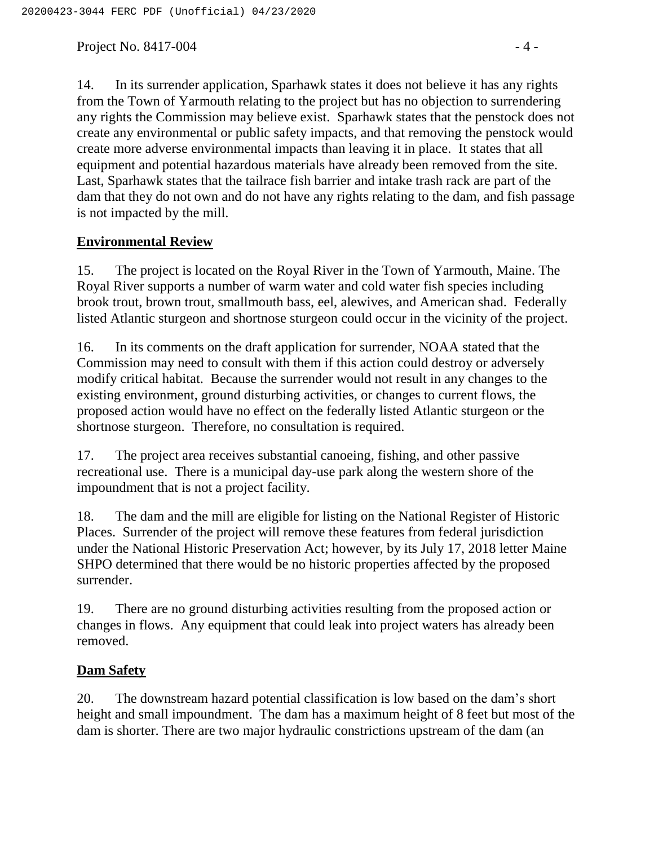Project No.  $8417-004$  - 4 -

14. In its surrender application, Sparhawk states it does not believe it has any rights from the Town of Yarmouth relating to the project but has no objection to surrendering any rights the Commission may believe exist. Sparhawk states that the penstock does not create any environmental or public safety impacts, and that removing the penstock would create more adverse environmental impacts than leaving it in place. It states that all equipment and potential hazardous materials have already been removed from the site. Last, Sparhawk states that the tailrace fish barrier and intake trash rack are part of the dam that they do not own and do not have any rights relating to the dam, and fish passage is not impacted by the mill.

# **Environmental Review**

15. The project is located on the Royal River in the Town of Yarmouth, Maine. The Royal River supports a number of warm water and cold water fish species including brook trout, brown trout, smallmouth bass, eel, alewives, and American shad. Federally listed Atlantic sturgeon and shortnose sturgeon could occur in the vicinity of the project.

16. In its comments on the draft application for surrender, NOAA stated that the Commission may need to consult with them if this action could destroy or adversely modify critical habitat. Because the surrender would not result in any changes to the existing environment, ground disturbing activities, or changes to current flows, the proposed action would have no effect on the federally listed Atlantic sturgeon or the shortnose sturgeon. Therefore, no consultation is required.

17. The project area receives substantial canoeing, fishing, and other passive recreational use. There is a municipal day-use park along the western shore of the impoundment that is not a project facility.

18. The dam and the mill are eligible for listing on the National Register of Historic Places. Surrender of the project will remove these features from federal jurisdiction under the National Historic Preservation Act; however, by its July 17, 2018 letter Maine SHPO determined that there would be no historic properties affected by the proposed surrender.

19. There are no ground disturbing activities resulting from the proposed action or changes in flows. Any equipment that could leak into project waters has already been removed.

# **Dam Safety**

20. The downstream hazard potential classification is low based on the dam's short height and small impoundment. The dam has a maximum height of 8 feet but most of the dam is shorter. There are two major hydraulic constrictions upstream of the dam (an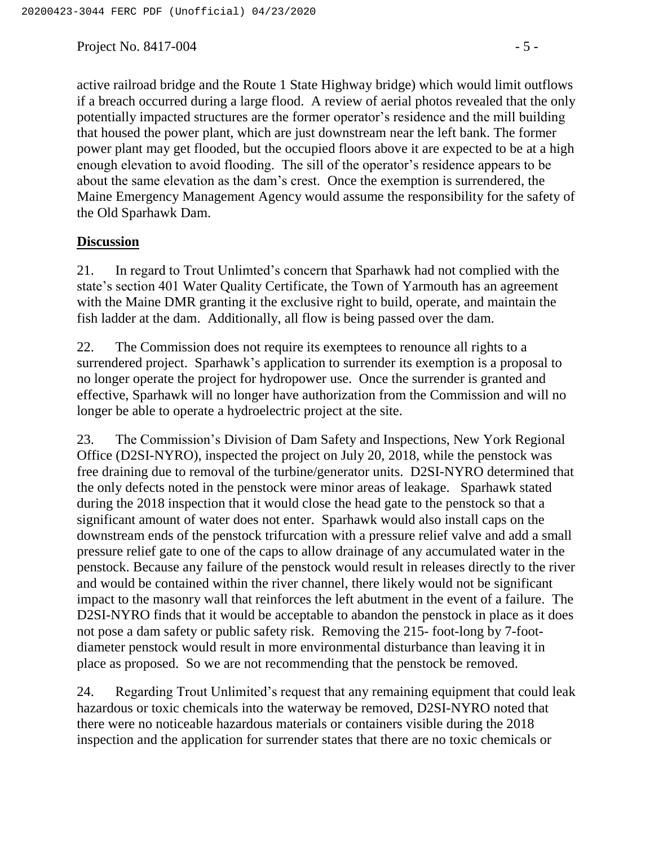Project No. 8417-004  $-5$  -

active railroad bridge and the Route 1 State Highway bridge) which would limit outflows if a breach occurred during a large flood. A review of aerial photos revealed that the only potentially impacted structures are the former operator's residence and the mill building that housed the power plant, which are just downstream near the left bank. The former power plant may get flooded, but the occupied floors above it are expected to be at a high enough elevation to avoid flooding. The sill of the operator's residence appears to be about the same elevation as the dam's crest. Once the exemption is surrendered, the Maine Emergency Management Agency would assume the responsibility for the safety of the Old Sparhawk Dam.

#### **Discussion**

21. In regard to Trout Unlimted's concern that Sparhawk had not complied with the state's section 401 Water Quality Certificate, the Town of Yarmouth has an agreement with the Maine DMR granting it the exclusive right to build, operate, and maintain the fish ladder at the dam. Additionally, all flow is being passed over the dam.

22. The Commission does not require its exemptees to renounce all rights to a surrendered project. Sparhawk's application to surrender its exemption is a proposal to no longer operate the project for hydropower use. Once the surrender is granted and effective, Sparhawk will no longer have authorization from the Commission and will no longer be able to operate a hydroelectric project at the site.

23. The Commission's Division of Dam Safety and Inspections, New York Regional Office (D2SI-NYRO), inspected the project on July 20, 2018, while the penstock was free draining due to removal of the turbine/generator units. D2SI-NYRO determined that the only defects noted in the penstock were minor areas of leakage. Sparhawk stated during the 2018 inspection that it would close the head gate to the penstock so that a significant amount of water does not enter. Sparhawk would also install caps on the downstream ends of the penstock trifurcation with a pressure relief valve and add a small pressure relief gate to one of the caps to allow drainage of any accumulated water in the penstock. Because any failure of the penstock would result in releases directly to the river and would be contained within the river channel, there likely would not be significant impact to the masonry wall that reinforces the left abutment in the event of a failure. The D2SI-NYRO finds that it would be acceptable to abandon the penstock in place as it does not pose a dam safety or public safety risk. Removing the 215- foot-long by 7-footdiameter penstock would result in more environmental disturbance than leaving it in place as proposed. So we are not recommending that the penstock be removed.

24. Regarding Trout Unlimited's request that any remaining equipment that could leak hazardous or toxic chemicals into the waterway be removed, D2SI-NYRO noted that there were no noticeable hazardous materials or containers visible during the 2018 inspection and the application for surrender states that there are no toxic chemicals or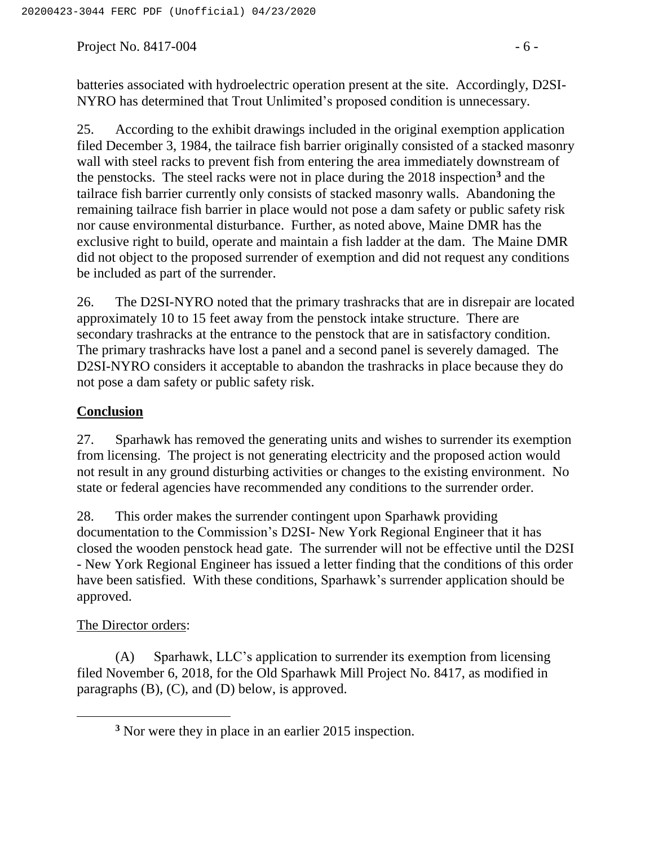Project No.  $8417-004$  - 6 -

25. According to the exhibit drawings included in the original exemption application filed December 3, 1984, the tailrace fish barrier originally consisted of a stacked masonry wall with steel racks to prevent fish from entering the area immediately downstream of the penstocks. The steel racks were not in place during the 2018 inspection**<sup>3</sup>** and the tailrace fish barrier currently only consists of stacked masonry walls. Abandoning the remaining tailrace fish barrier in place would not pose a dam safety or public safety risk nor cause environmental disturbance. Further, as noted above, Maine DMR has the exclusive right to build, operate and maintain a fish ladder at the dam. The Maine DMR did not object to the proposed surrender of exemption and did not request any conditions be included as part of the surrender.

26. The D2SI-NYRO noted that the primary trashracks that are in disrepair are located approximately 10 to 15 feet away from the penstock intake structure. There are secondary trashracks at the entrance to the penstock that are in satisfactory condition. The primary trashracks have lost a panel and a second panel is severely damaged. The D2SI-NYRO considers it acceptable to abandon the trashracks in place because they do not pose a dam safety or public safety risk.

# **Conclusion**

27. Sparhawk has removed the generating units and wishes to surrender its exemption from licensing. The project is not generating electricity and the proposed action would not result in any ground disturbing activities or changes to the existing environment. No state or federal agencies have recommended any conditions to the surrender order.

28. This order makes the surrender contingent upon Sparhawk providing documentation to the Commission's D2SI- New York Regional Engineer that it has closed the wooden penstock head gate. The surrender will not be effective until the D2SI - New York Regional Engineer has issued a letter finding that the conditions of this order have been satisfied. With these conditions, Sparhawk's surrender application should be approved.

### The Director orders:

(A) Sparhawk, LLC's application to surrender its exemption from licensing filed November 6, 2018, for the Old Sparhawk Mill Project No. 8417, as modified in paragraphs (B), (C), and (D) below, is approved.

**<sup>3</sup>** Nor were they in place in an earlier 2015 inspection.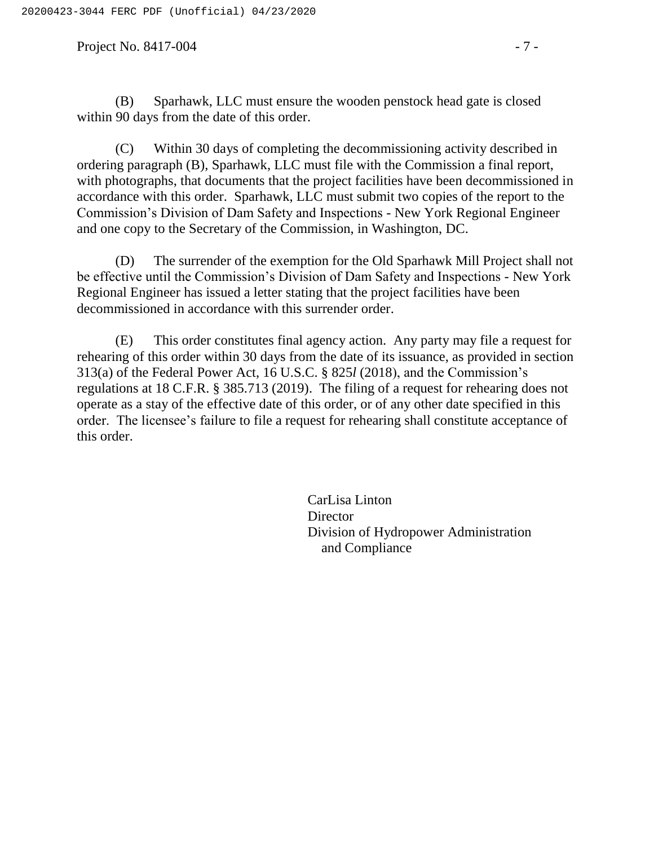Project No. 8417-004 - 7 -

(C) Within 30 days of completing the decommissioning activity described in ordering paragraph (B), Sparhawk, LLC must file with the Commission a final report, with photographs, that documents that the project facilities have been decommissioned in accordance with this order. Sparhawk, LLC must submit two copies of the report to the Commission's Division of Dam Safety and Inspections - New York Regional Engineer and one copy to the Secretary of the Commission, in Washington, DC.

(D) The surrender of the exemption for the Old Sparhawk Mill Project shall not be effective until the Commission's Division of Dam Safety and Inspections - New York Regional Engineer has issued a letter stating that the project facilities have been decommissioned in accordance with this surrender order.

(E) This order constitutes final agency action. Any party may file a request for rehearing of this order within 30 days from the date of its issuance, as provided in section 313(a) of the Federal Power Act, 16 U.S.C. § 825*l* (2018), and the Commission's regulations at 18 C.F.R. § 385.713 (2019). The filing of a request for rehearing does not operate as a stay of the effective date of this order, or of any other date specified in this order. The licensee's failure to file a request for rehearing shall constitute acceptance of this order.

> CarLisa Linton **Director** Division of Hydropower Administration and Compliance